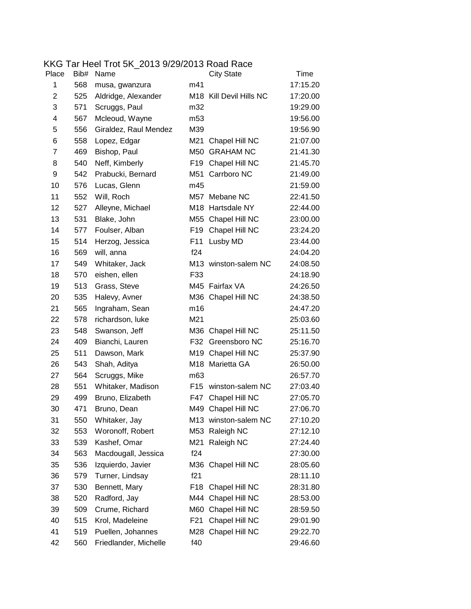|  | KKG Tar Heel Trot 5K 2013 9/29/2013 Road Race |
|--|-----------------------------------------------|
|--|-----------------------------------------------|

| Place          | Bib# | Name                  |                 | <b>City State</b>       | <b>Time</b> |
|----------------|------|-----------------------|-----------------|-------------------------|-------------|
| 1              | 568  | musa, gwanzura        | m41             |                         | 17:15.20    |
| $\overline{c}$ | 525  | Aldridge, Alexander   |                 | M18 Kill Devil Hills NC | 17:20.00    |
| 3              | 571  | Scruggs, Paul         | m32             |                         | 19:29.00    |
| 4              | 567  | Mcleoud, Wayne        | m <sub>53</sub> |                         | 19:56.00    |
| 5              | 556  | Giraldez, Raul Mendez | M39             |                         | 19:56.90    |
| 6              | 558  | Lopez, Edgar          |                 | M21 Chapel Hill NC      | 21:07.00    |
| $\overline{7}$ | 469  | Bishop, Paul          |                 | M50 GRAHAM NC           | 21:41.30    |
| 8              | 540  | Neff, Kimberly        | F <sub>19</sub> | Chapel Hill NC          | 21:45.70    |
| 9              | 542  | Prabucki, Bernard     |                 | M51 Carrboro NC         | 21:49.00    |
| 10             | 576  | Lucas, Glenn          | m45             |                         | 21:59.00    |
| 11             | 552  | Will, Roch            |                 | M57 Mebane NC           | 22:41.50    |
| 12             | 527  | Alleyne, Michael      |                 | M18 Hartsdale NY        | 22:44.00    |
| 13             | 531  | Blake, John           |                 | M55 Chapel Hill NC      | 23:00.00    |
| 14             | 577  | Foulser, Alban        |                 | F19 Chapel Hill NC      | 23:24.20    |
| 15             | 514  | Herzog, Jessica       | F11             | Lusby MD                | 23:44.00    |
| 16             | 569  | will, anna            | f24             |                         | 24:04.20    |
| 17             | 549  | Whitaker, Jack        |                 | M13 winston-salem NC    | 24:08.50    |
| 18             | 570  | eishen, ellen         | F33             |                         | 24:18.90    |
| 19             | 513  | Grass, Steve          |                 | M45 Fairfax VA          | 24:26.50    |
| 20             | 535  | Halevy, Avner         |                 | M36 Chapel Hill NC      | 24:38.50    |
| 21             | 565  | Ingraham, Sean        | m16             |                         | 24:47.20    |
| 22             | 578  | richardson, luke      | M21             |                         | 25:03.60    |
| 23             | 548  | Swanson, Jeff         |                 | M36 Chapel Hill NC      | 25:11.50    |
| 24             | 409  | Bianchi, Lauren       |                 | F32 Greensboro NC       | 25:16.70    |
| 25             | 511  | Dawson, Mark          |                 | M19 Chapel Hill NC      | 25:37.90    |
| 26             | 543  | Shah, Aditya          |                 | M18 Marietta GA         | 26:50.00    |
| 27             | 564  | Scruggs, Mike         | m63             |                         | 26:57.70    |
| 28             | 551  | Whitaker, Madison     |                 | F15 winston-salem NC    | 27:03.40    |
| 29             | 499  | Bruno, Elizabeth      | F47             | Chapel Hill NC          | 27:05.70    |
| 30             | 471  | Bruno, Dean           |                 | M49 Chapel Hill NC      | 27:06.70    |
| 31             | 550  | Whitaker, Jay         |                 | M13 winston-salem NC    | 27:10.20    |
| 32             | 553  | Woronoff, Robert      | M53             | Raleigh NC              | 27:12.10    |
| 33             | 539  | Kashef, Omar          | M21             | Raleigh NC              | 27:24.40    |
| 34             | 563  | Macdougall, Jessica   | f24             |                         | 27:30.00    |
| 35             | 536  | Izquierdo, Javier     |                 | M36 Chapel Hill NC      | 28:05.60    |
| 36             | 579  | Turner, Lindsay       | f21             |                         | 28:11.10    |
| 37             | 530  | Bennett, Mary         | F18             | Chapel Hill NC          | 28:31.80    |
| 38             | 520  | Radford, Jay          |                 | M44 Chapel Hill NC      | 28:53.00    |
| 39             | 509  | Crume, Richard        | M60             | Chapel Hill NC          | 28:59.50    |
| 40             | 515  | Krol, Madeleine       | F21             | Chapel Hill NC          | 29:01.90    |
| 41             | 519  | Puellen, Johannes     | M28             | Chapel Hill NC          | 29:22.70    |
| 42             | 560  | Friedlander, Michelle | f40             |                         | 29:46.60    |